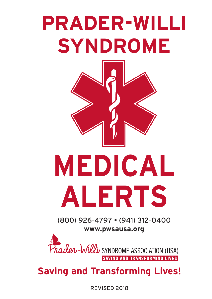



**Saving and Transforming Lives!**

REVISED 2018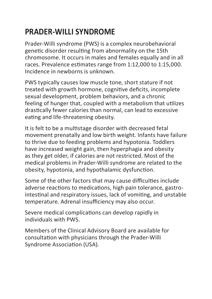# **PRADER-WILLI SYNDROME**

Prader-Willi syndrome (PWS) is a complex neurobehavioral genetic disorder resulting from abnormality on the 15th chromosome. It occurs in males and females equally and in all races. Prevalence estimates range from 1:12,000 to 1:15,000. Incidence in newborns is unknown.

PWS typically causes low muscle tone, short stature if not treated with growth hormone, cognitive deficits, incomplete sexual development, problem behaviors, and a chronic feeling of hunger that, coupled with a metabolism that utilizes drastically fewer calories than normal, can lead to excessive eating and life-threatening obesity.

It is felt to be a multistage disorder with decreased fetal movement prenatally and low birth weight. Infants have failure to thrive due to feeding problems and hypotonia. Toddlers have increased weight gain, then hyperphagia and obesity as they get older, if calories are not restricted. Most of the medical problems in Prader-Willi syndrome are related to the obesity, hypotonia, and hypothalamic dysfunction.

Some of the other factors that may cause difficulties include adverse reactions to medications, high pain tolerance, gastrointestinal and respiratory issues, lack of vomiting, and unstable temperature. Adrenal insufficiency may also occur.

Severe medical complications can develop rapidly in individuals with PWS.

Members of the Clinical Advisory Board are available for consultation with physicians through the Prader-Willi Syndrome Association (USA).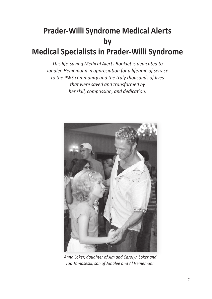# **Prader-Willi Syndrome Medical Alerts by Medical Specialists in Prader-Willi Syndrome**

*This life-saving Medical Alerts Booklet is dedicated to Janalee Heinemann in appreciation for a lifetime of service to the PWS community and the truly thousands of lives that were saved and transformed by her skill, compassion, and dedication.*



*Anna Loker, daughter of Jim and Carolyn Loker and Tad Tomaseski, son of Janalee and Al Heinemann*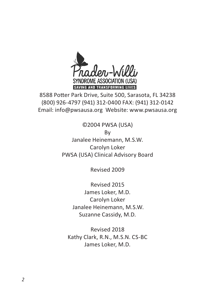

8588 Potter Park Drive, Suite 500, Sarasota, FL 34238 (800) 926-4797 (941) 312-0400 FAX: (941) 312-0142 Email: info@pwsausa.org Website: www.pwsausa.org

©2004 PWSA (USA)

By

Janalee Heinemann, M.S.W. Carolyn Loker PWSA (USA) Clinical Advisory Board

Revised 2009

Revised 2015 James Loker, M.D. Carolyn Loker Janalee Heinemann, M.S.W. Suzanne Cassidy, M.D.

Revised 2018 Kathy Clark, R.N., M.S.N. CS-BC James Loker, M.D.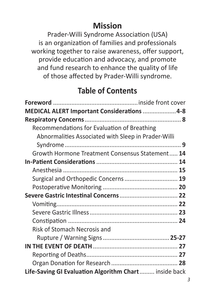# **Mission**

Prader-Willi Syndrome Association (USA) is an organization of families and professionals working together to raise awareness, offer support, provide education and advocacy, and promote and fund research to enhance the quality of life of those affected by Prader-Willi syndrome.

### **Table of Contents**

| MEDICAL ALERT Important Considerations  4-8           |
|-------------------------------------------------------|
|                                                       |
| Recommendations for Evaluation of Breathing           |
| Abnormalities Associated with Sleep in Prader-Willi   |
|                                                       |
| Growth Hormone Treatment Consensus Statement 14       |
|                                                       |
|                                                       |
| Surgical and Orthopedic Concerns 19                   |
|                                                       |
|                                                       |
|                                                       |
|                                                       |
|                                                       |
| Risk of Stomach Necrosis and                          |
|                                                       |
|                                                       |
|                                                       |
|                                                       |
| Life-Saving GI Evaluation Algorithm Chart inside back |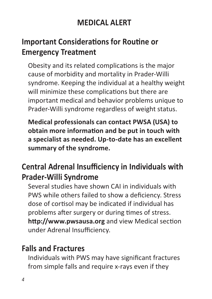# **MEDICAL ALERT**

# **Important Considerations for Routine or Emergency Treatment**

Obesity and its related complications is the major cause of morbidity and mortality in Prader-Willi syndrome. Keeping the individual at a healthy weight will minimize these complications but there are important medical and behavior problems unique to Prader-Willi syndrome regardless of weight status.

**Medical professionals can contact PWSA (USA) to obtain more information and be put in touch with a specialist as needed. Up-to-date has an excellent summary of the syndrome.**

# **Central Adrenal Insufficiency in Individuals with Prader-Willi Syndrome**

Several studies have shown CAI in individuals with PWS while others failed to show a deficiency. Stress dose of cortisol may be indicated if individual has problems after surgery or during times of stress. **http://www.pwsausa.org** and view Medical section under Adrenal Insufficiency.

### **Falls and Fractures**

Individuals with PWS may have significant fractures from simple falls and require x-rays even if they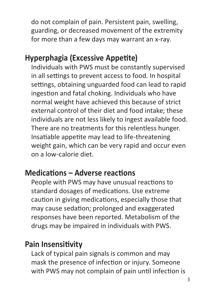do not complain of pain. Persistent pain, swelling, guarding, or decreased movement of the extremity for more than a few days may warrant an x-ray.

# **Hyperphagia (Excessive Appetite)**

Individuals with PWS must be constantly supervised in all settings to prevent access to food. In hospital settings, obtaining unguarded food can lead to rapid ingestion and fatal choking. Individuals who have normal weight have achieved this because of strict external control of their diet and food intake; these individuals are not less likely to ingest available food. There are no treatments for this relentless hunger. Insatiable appetite may lead to life-threatening weight gain, which can be very rapid and occur even on a low-calorie diet.

### **Medications – Adverse reactions**

People with PWS may have unusual reactions to standard dosages of medications. Use extreme caution in giving medications, especially those that may cause sedation; prolonged and exaggerated responses have been reported. Metabolism of the drugs may be impaired in individuals with PWS.

# **Pain Insensitivity**

Lack of typical pain signals is common and may mask the presence of infection or injury. Someone with PWS may not complain of pain until infection is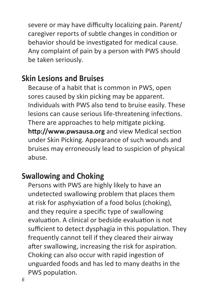severe or may have difficulty localizing pain. Parent/ caregiver reports of subtle changes in condition or behavior should be investigated for medical cause. Any complaint of pain by a person with PWS should be taken seriously.

#### **Skin Lesions and Bruises**

Because of a habit that is common in PWS, open sores caused by skin picking may be apparent. Individuals with PWS also tend to bruise easily. These lesions can cause serious life-threatening infections. There are approaches to help mitigate picking. **http://www.pwsausa.org** and view Medical section under Skin Picking. Appearance of such wounds and bruises may erroneously lead to suspicion of physical abuse.

### **Swallowing and Choking**

Persons with PWS are highly likely to have an undetected swallowing problem that places them at risk for asphyxiation of a food bolus (choking), and they require a specific type of swallowing evaluation. A clinical or bedside evaluation is not sufficient to detect dysphagia in this population. They frequently cannot tell if they cleared their airway after swallowing, increasing the risk for aspiration. Choking can also occur with rapid ingestion of unguarded foods and has led to many deaths in the PWS population.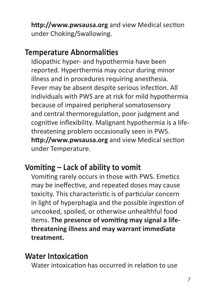**http://www.pwsausa.org** and view Medical section under Choking/Swallowing.

#### **Temperature Abnormalities**

Idiopathic hyper- and hypothermia have been reported. Hyperthermia may occur during minor illness and in procedures requiring anesthesia. Fever may be absent despite serious infection. All individuals with PWS are at risk for mild hypothermia because of impaired peripheral somatosensory and central thermoregulation, poor judgment and cognitive inflexibility. Malignant hypothermia is a lifethreatening problem occasionally seen in PWS. **http://www.pwsausa.org** and view Medical section under Temperature.

# **Vomiting – Lack of ability to vomit**

Vomiting rarely occurs in those with PWS. Emetics may be ineffective, and repeated doses may cause toxicity. This characteristic is of particular concern in light of hyperphagia and the possible ingestion of uncooked, spoiled, or otherwise unhealthful food items. **The presence of vomiting may signal a lifethreatening illness and may warrant immediate treatment.**

#### **Water Intoxication**

Water intoxication has occurred in relation to use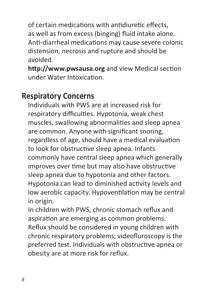of certain medications with antidiuretic effects, as well as from excess (binging) fluid intake alone. Anti-diarrheal medications may cause severe colonic distension, necrosis and rupture and should be avoided.

**http://www.pwsausa.org** and view Medical section under Water Intoxication.

#### **Respiratory Concerns**

Individuals with PWS are at increased risk for respiratory difficulties. Hypotonia, weak chest muscles, swallowing abnormalities and sleep apnea are common. Anyone with significant snoring, regardless of age, should have a medical evaluation to look for obstructive sleep apnea. Infants commonly have central sleep apnea which generally improves over time but may also have obstructive sleep apnea due to hypotonia and other factors. Hypotonia can lead to diminished activity levels and low aerobic capacity. Hypoventilation may be central in origin.

In children with PWS, chronic stomach reflux and aspiration are emerging as common problems. Reflux should be considered in young children with chronic respiratory problems; videofluroscopy is the preferred test. Individuals with obstructive apnea or obesity are at more risk for reflux.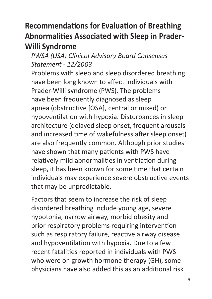# **Recommendations for Evaluation of Breathing Abnormalities Associated with Sleep in Prader-Willi Syndrome**

#### *PWSA (USA) Clinical Advisory Board Consensus Statement - 12/2003*

Problems with sleep and sleep disordered breathing have been long known to affect individuals with Prader-Willi syndrome (PWS). The problems have been frequently diagnosed as sleep apnea (obstructive [OSA], central or mixed) or hypoventilation with hypoxia. Disturbances in sleep architecture (delayed sleep onset, frequent arousals and increased time of wakefulness after sleep onset) are also frequently common. Although prior studies have shown that many patients with PWS have relatively mild abnormalities in ventilation during sleep, it has been known for some time that certain individuals may experience severe obstructive events that may be unpredictable.

Factors that seem to increase the risk of sleep disordered breathing include young age, severe hypotonia, narrow airway, morbid obesity and prior respiratory problems requiring intervention such as respiratory failure, reactive airway disease and hypoventilation with hypoxia. Due to a few recent fatalities reported in individuals with PWS who were on growth hormone therapy (GH), some physicians have also added this as an additional risk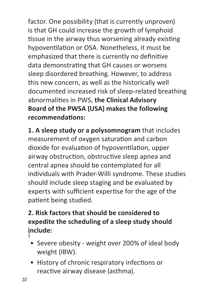factor. One possibility (that is currently unproven) is that GH could increase the growth of lymphoid tissue in the airway thus worsening already existing hypoventilation or OSA. Nonetheless, it must be emphasized that there is currently no definitive data demonstrating that GH causes or worsens sleep disordered breathing. However, to address this new concern, as well as the historically well documented increased risk of sleep-related breathing abnormalities in PWS, **the Clinical Advisory Board of the PWSA (USA) makes the following recommendations:**

**1. A sleep study or a polysomnogram** that includes measurement of oxygen saturation and carbon dioxide for evaluation of hypoventilation, upper airway obstruction, obstructive sleep apnea and central apnea should be contemplated for all individuals with Prader-Willi syndrome. These studies should include sleep staging and be evaluated by experts with sufficient expertise for the age of the patient being studied.

#### **2. Risk factors that should be considered to expedite the scheduling of a sleep study should include:** ¡

- Severe obesity weight over 200% of ideal body weight (IBW).
- History of chronic respiratory infections or reactive airway disease (asthma).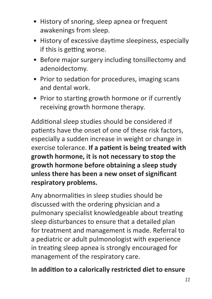- History of snoring, sleep apnea or frequent awakenings from sleep.
- History of excessive daytime sleepiness, especially if this is getting worse.
- Before major surgery including tonsillectomy and adenoidectomy.
- Prior to sedation for procedures, imaging scans and dental work.
- Prior to starting growth hormone or if currently receiving growth hormone therapy.

Additional sleep studies should be considered if patients have the onset of one of these risk factors, especially a sudden increase in weight or change in exercise tolerance. **If a patient is being treated with growth hormone, it is not necessary to stop the growth hormone before obtaining a sleep study unless there has been a new onset of significant respiratory problems.**

Any abnormalities in sleep studies should be discussed with the ordering physician and a pulmonary specialist knowledgeable about treating sleep disturbances to ensure that a detailed plan for treatment and management is made. Referral to a pediatric or adult pulmonologist with experience in treating sleep apnea is strongly encouraged for management of the respiratory care.

#### **In addition to a calorically restricted diet to ensure**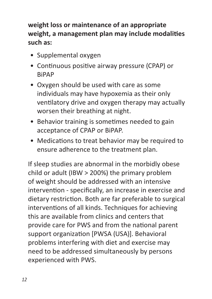#### **weight loss or maintenance of an appropriate weight, a management plan may include modalities such as:**

- Supplemental oxygen
- Continuous positive airway pressure (CPAP) or **RiPAP**
- Oxygen should be used with care as some individuals may have hypoxemia as their only ventilatory drive and oxygen therapy may actually worsen their breathing at night.
- Behavior training is sometimes needed to gain acceptance of CPAP or BiPAP.
- Medications to treat behavior may be required to ensure adherence to the treatment plan.

If sleep studies are abnormal in the morbidly obese child or adult (IBW > 200%) the primary problem of weight should be addressed with an intensive intervention - specifically, an increase in exercise and dietary restriction. Both are far preferable to surgical interventions of all kinds. Techniques for achieving this are available from clinics and centers that provide care for PWS and from the national parent support organization [PWSA (USA)]. Behavioral problems interfering with diet and exercise may need to be addressed simultaneously by persons experienced with PWS.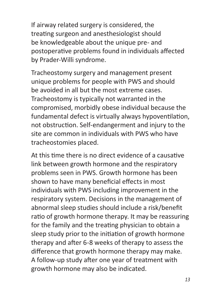If airway related surgery is considered, the treating surgeon and anesthesiologist should be knowledgeable about the unique pre- and postoperative problems found in individuals affected by Prader-Willi syndrome.

Tracheostomy surgery and management present unique problems for people with PWS and should be avoided in all but the most extreme cases. Tracheostomy is typically not warranted in the compromised, morbidly obese individual because the fundamental defect is virtually always hypoventilation, not obstruction. Self-endangerment and injury to the site are common in individuals with PWS who have tracheostomies placed.

At this time there is no direct evidence of a causative link between growth hormone and the respiratory problems seen in PWS. Growth hormone has been shown to have many beneficial effects in most individuals with PWS including improvement in the respiratory system. Decisions in the management of abnormal sleep studies should include a risk/benefit ratio of growth hormone therapy. It may be reassuring for the family and the treating physician to obtain a sleep study prior to the initiation of growth hormone therapy and after 6-8 weeks of therapy to assess the difference that growth hormone therapy may make. A follow-up study after one year of treatment with growth hormone may also be indicated.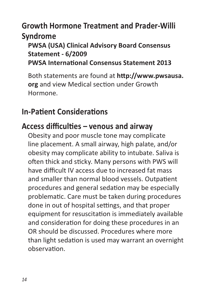# **Growth Hormone Treatment and Prader-Willi Syndrome**

#### **PWSA (USA) Clinical Advisory Board Consensus Statement - 6/2009 PWSA International Consensus Statement 2013**

Both statements are found at **http://www.pwsausa. org** and view Medical section under Growth Hormone.

# **In-Patient Considerations**

#### **Access difficulties – venous and airway**

Obesity and poor muscle tone may complicate line placement. A small airway, high palate, and/or obesity may complicate ability to intubate. Saliva is often thick and sticky. Many persons with PWS will have difficult IV access due to increased fat mass and smaller than normal blood vessels. Outpatient procedures and general sedation may be especially problematic. Care must be taken during procedures done in out of hospital settings, and that proper equipment for resuscitation is immediately available and consideration for doing these procedures in an OR should be discussed. Procedures where more than light sedation is used may warrant an overnight observation.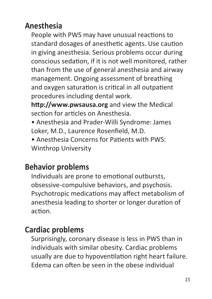# **Anesthesia**

People with PWS may have unusual reactions to standard dosages of anesthetic agents. Use caution in giving anesthesia. Serious problems occur during conscious sedation, if it is not well monitored, rather than from the use of general anesthesia and airway management. Ongoing assessment of breathing and oxygen saturation is critical in all outpatient procedures including dental work.

**http://www.pwsausa.org** and view the Medical section for articles on Anesthesia.

- Anesthesia and Prader-Willi Syndrome: James Loker, M.D., Laurence Rosenfield, M.D.
- Anesthesia Concerns for Patients with PWS: Winthrop University

# **Behavior problems**

Individuals are prone to emotional outbursts, obsessive-compulsive behaviors, and psychosis. Psychotropic medications may affect metabolism of anesthesia leading to shorter or longer duration of action.

# **Cardiac problems**

Surprisingly, coronary disease is less in PWS than in individuals with similar obesity. Cardiac problems usually are due to hypoventilation right heart failure. Edema can often be seen in the obese individual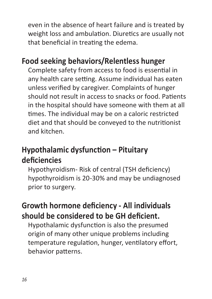even in the absence of heart failure and is treated by weight loss and ambulation. Diuretics are usually not that beneficial in treating the edema.

# **Food seeking behaviors/Relentless hunger**

Complete safety from access to food is essential in any health care setting. Assume individual has eaten unless verified by caregiver. Complaints of hunger should not result in access to snacks or food. Patients in the hospital should have someone with them at all times. The individual may be on a caloric restricted diet and that should be conveyed to the nutritionist and kitchen.

# **Hypothalamic dysfunction – Pituitary deficiencies**

Hypothyroidism- Risk of central (TSH deficiency) hypothyroidism is 20-30% and may be undiagnosed prior to surgery.

# **Growth hormone deficiency - All individuals should be considered to be GH deficient.**

Hypothalamic dysfunction is also the presumed origin of many other unique problems including temperature regulation, hunger, ventilatory effort, behavior patterns.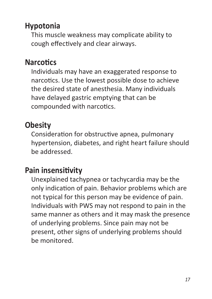# **Hypotonia**

This muscle weakness may complicate ability to cough effectively and clear airways.

# **Narcotics**

Individuals may have an exaggerated response to narcotics. Use the lowest possible dose to achieve the desired state of anesthesia. Many individuals have delayed gastric emptying that can be compounded with narcotics.

# **Obesity**

Consideration for obstructive apnea, pulmonary hypertension, diabetes, and right heart failure should be addressed.

### **Pain insensitivity**

Unexplained tachypnea or tachycardia may be the only indication of pain. Behavior problems which are not typical for this person may be evidence of pain. Individuals with PWS may not respond to pain in the same manner as others and it may mask the presence of underlying problems. Since pain may not be present, other signs of underlying problems should be monitored.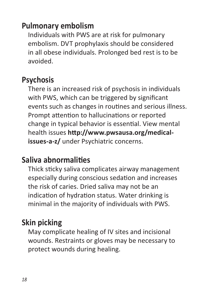# **Pulmonary embolism**

Individuals with PWS are at risk for pulmonary embolism. DVT prophylaxis should be considered in all obese individuals. Prolonged bed rest is to be avoided.

#### **Psychosis**

There is an increased risk of psychosis in individuals with PWS, which can be triggered by significant events such as changes in routines and serious illness. Prompt attention to hallucinations or reported change in typical behavior is essential. View mental health issues **http://www.pwsausa.org/medicalissues-a-z/** under Psychiatric concerns.

#### **Saliva abnormalities**

Thick sticky saliva complicates airway management especially during conscious sedation and increases the risk of caries. Dried saliva may not be an indication of hydration status. Water drinking is minimal in the majority of individuals with PWS.

# **Skin picking**

May complicate healing of IV sites and incisional wounds. Restraints or gloves may be necessary to protect wounds during healing.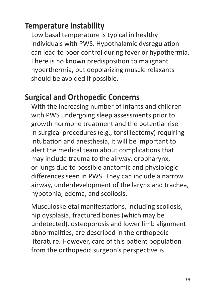# **Temperature instability**

Low basal temperature is typical in healthy individuals with PWS. Hypothalamic dysregulation can lead to poor control during fever or hypothermia. There is no known predisposition to malignant hyperthermia, but depolarizing muscle relaxants should be avoided if possible.

#### **Surgical and Orthopedic Concerns**

With the increasing number of infants and children with PWS undergoing sleep assessments prior to growth hormone treatment and the potential rise in surgical procedures (e.g., tonsillectomy) requiring intubation and anesthesia, it will be important to alert the medical team about complications that may include trauma to the airway, oropharynx, or lungs due to possible anatomic and physiologic differences seen in PWS. They can include a narrow airway, underdevelopment of the larynx and trachea, hypotonia, edema, and scoliosis.

Musculoskeletal manifestations, including scoliosis, hip dysplasia, fractured bones (which may be undetected), osteoporosis and lower limb alignment abnormalities, are described in the orthopedic literature. However, care of this patient population from the orthopedic surgeon's perspective is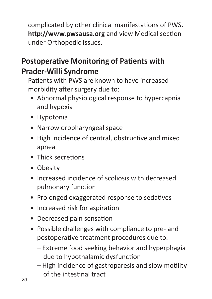complicated by other clinical manifestations of PWS. **http://www.pwsausa.org** and view Medical section under Orthopedic Issues.

# **Postoperative Monitoring of Patients with Prader-Willi Syndrome**

Patients with PWS are known to have increased morbidity after surgery due to:

- Abnormal physiological response to hypercapnia and hypoxia
- Hypotonia
- Narrow oropharyngeal space
- High incidence of central, obstructive and mixed apnea
- Thick secretions
- Obesity
- Increased incidence of scoliosis with decreased pulmonary function
- Prolonged exaggerated response to sedatives
- Increased risk for aspiration
- Decreased pain sensation
- Possible challenges with compliance to pre- and postoperative treatment procedures due to:
	- Extreme food seeking behavior and hyperphagia due to hypothalamic dysfunction
	- High incidence of gastroparesis and slow motility of the intestinal tract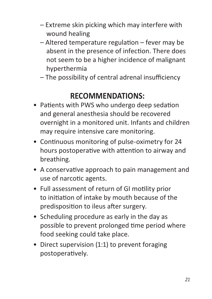- Extreme skin picking which may interfere with wound healing
- Altered temperature regulation fever may be absent in the presence of infection. There does not seem to be a higher incidence of malignant hyperthermia
- The possibility of central adrenal insufficiency

# **RECOMMENDATIONS:**

- Patients with PWS who undergo deep sedation and general anesthesia should be recovered overnight in a monitored unit. Infants and children may require intensive care monitoring.
- Continuous monitoring of pulse-oximetry for 24 hours postoperative with attention to airway and breathing.
- A conservative approach to pain management and use of narcotic agents.
- Full assessment of return of GI motility prior to initiation of intake by mouth because of the predisposition to ileus after surgery.
- Scheduling procedure as early in the day as possible to prevent prolonged time period where food seeking could take place.
- Direct supervision (1:1) to prevent foraging postoperatively.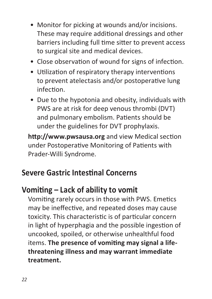- Monitor for picking at wounds and/or incisions. These may require additional dressings and other barriers including full time sitter to prevent access to surgical site and medical devices.
- Close observation of wound for signs of infection.
- Utilization of respiratory therapy interventions to prevent atelectasis and/or postoperative lung infection.
- Due to the hypotonia and obesity, individuals with PWS are at risk for deep venous thrombi (DVT) and pulmonary embolism. Patients should be under the guidelines for DVT prophylaxis.

**http://www.pwsausa.org** and view Medical section under Postoperative Monitoring of Patients with Prader-Willi Syndrome.

#### **Severe Gastric Intestinal Concerns**

#### **Vomiting – Lack of ability to vomit**

Vomiting rarely occurs in those with PWS. Emetics may be ineffective, and repeated doses may cause toxicity. This characteristic is of particular concern in light of hyperphagia and the possible ingestion of uncooked, spoiled, or otherwise unhealthful food items. **The presence of vomiting may signal a lifethreatening illness and may warrant immediate treatment.**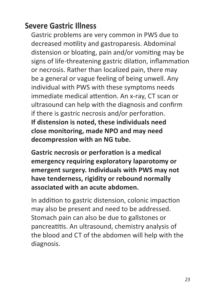#### **Severe Gastric Illness**

Gastric problems are very common in PWS due to decreased motility and gastroparesis. Abdominal distension or bloating, pain and/or vomiting may be signs of life-threatening gastric dilation, inflammation or necrosis. Rather than localized pain, there may be a general or vague feeling of being unwell. Any individual with PWS with these symptoms needs immediate medical attention. An x-ray, CT scan or ultrasound can help with the diagnosis and confirm if there is gastric necrosis and/or perforation. **If distension is noted, these individuals need close monitoring, made NPO and may need decompression with an NG tube.**

**Gastric necrosis or perforation is a medical emergency requiring exploratory laparotomy or emergent surgery. Individuals with PWS may not have tenderness, rigidity or rebound normally associated with an acute abdomen.** 

In addition to gastric distension, colonic impaction may also be present and need to be addressed. Stomach pain can also be due to gallstones or pancreatitis. An ultrasound, chemistry analysis of the blood and CT of the abdomen will help with the diagnosis.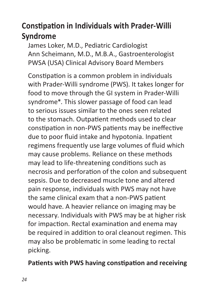# **Constipation in Individuals with Prader-Willi Syndrome**

James Loker, M.D., Pediatric Cardiologist Ann Scheimann, M.D., M.B.A., Gastroenterologist PWSA (USA) Clinical Advisory Board Members

Constipation is a common problem in individuals with Prader-Willi syndrome (PWS). It takes longer for food to move through the GI system in Prader-Willi syndrome\*. This slower passage of food can lead to serious issues similar to the ones seen related to the stomach. Outpatient methods used to clear constipation in non-PWS patients may be ineffective due to poor fluid intake and hypotonia. Inpatient regimens frequently use large volumes of fluid which may cause problems. Reliance on these methods may lead to life-threatening conditions such as necrosis and perforation of the colon and subsequent sepsis. Due to decreased muscle tone and altered pain response, individuals with PWS may not have the same clinical exam that a non-PWS patient would have. A heavier reliance on imaging may be necessary. Individuals with PWS may be at higher risk for impaction. Rectal examination and enema may be required in addition to oral cleanout regimen. This may also be problematic in some leading to rectal picking.

#### **Patients with PWS having constipation and receiving**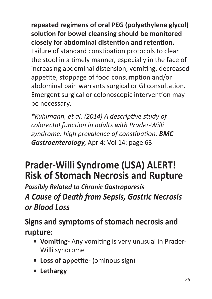**repeated regimens of oral PEG (polyethylene glycol) solution for bowel cleansing should be monitored closely for abdominal distention and retention.**  Failure of standard constipation protocols to clear the stool in a timely manner, especially in the face of increasing abdominal distension, vomiting, decreased appetite, stoppage of food consumption and/or abdominal pain warrants surgical or GI consultation. Emergent surgical or colonoscopic intervention may be necessary.

*\*Kuhlmann, et al. (2014) A descriptive study of colorectal function in adults with Prader-Willi syndrome: high prevalence of constipation. BMC Gastroenterology*, Apr 4; Vol 14: page 63

# **Prader-Willi Syndrome (USA) ALERT! Risk of Stomach Necrosis and Rupture**

*Possibly Related to Chronic Gastroparesis A Cause of Death from Sepsis, Gastric Necrosis or Blood Loss*

**Signs and symptoms of stomach necrosis and rupture:**

- **• Vomiting-** Any vomiting is very unusual in Prader-Willi syndrome
- **• Loss of appetite-** (ominous sign)
- **• Lethargy**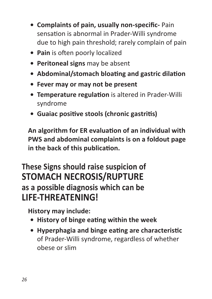- **• Complaints of pain, usually non-specific-** Pain sensation is abnormal in Prader-Willi syndrome due to high pain threshold; rarely complain of pain
- **• Pain** is often poorly localized
- **• Peritoneal signs** may be absent
- **• Abdominal/stomach bloating and gastric dilation**
- **• Fever may or may not be present**
- **• Temperature regulation** is altered in Prader-Willi syndrome
- **• Guaiac positive stools (chronic gastritis)**

**An algorithm for ER evaluation of an individual with PWS and abdominal complaints is on a foldout page in the back of this publication.**

# **These Signs should raise suspicion of STOMACH NECROSIS/RUPTURE as a possible diagnosis which can be LIFE-THREATENING!**

**History may include:**

- **• History of binge eating within the week**
- **• Hyperphagia and binge eating are characteristic**  of Prader-Willi syndrome, regardless of whether obese or slim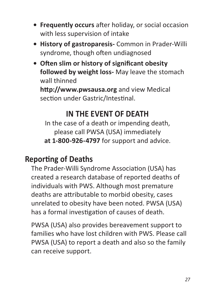- **• Frequently occurs** after holiday, or social occasion with less supervision of intake
- **• History of gastroparesis-** Common in Prader-Willi syndrome, though often undiagnosed
- **• Often slim or history of significant obesity followed by weight loss-** May leave the stomach wall thinned

**http://www.pwsausa.org** and view Medical section under Gastric/Intestinal.

### **IN THE EVENT OF DEATH**

In the case of a death or impending death, please call PWSA (USA) immediately **at 1-800-926-4797** for support and advice.

# **Reporting of Deaths**

The Prader-Willi Syndrome Association (USA) has created a research database of reported deaths of individuals with PWS. Although most premature deaths are attributable to morbid obesity, cases unrelated to obesity have been noted. PWSA (USA) has a formal investigation of causes of death.

PWSA (USA) also provides bereavement support to families who have lost children with PWS. Please call PWSA (USA) to report a death and also so the family can receive support.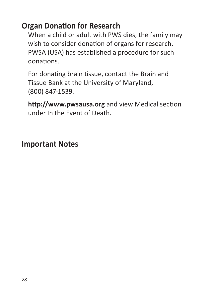#### **Organ Donation for Research**

When a child or adult with PWS dies, the family may wish to consider donation of organs for research. PWSA (USA) has established a procedure for such donations.

For donating brain tissue, contact the Brain and Tissue Bank at the University of Maryland, (800) 847-1539.

**http://www.pwsausa.org** and view Medical section under In the Event of Death.

#### **Important Notes**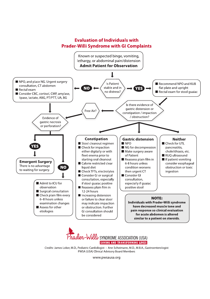# **Evaluation of Individuals with Prader-Willi Syndrome with GI Complaints**





Credits: James Loker, M.D., Pediatric Cardiologist · Ann Scheimann, M.D., M.B.A., Gastroenterologist PWSA (USA) Clinical Advisory Board Members

www.pwsausa.org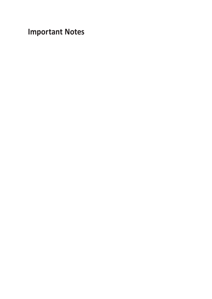**Important Notes**